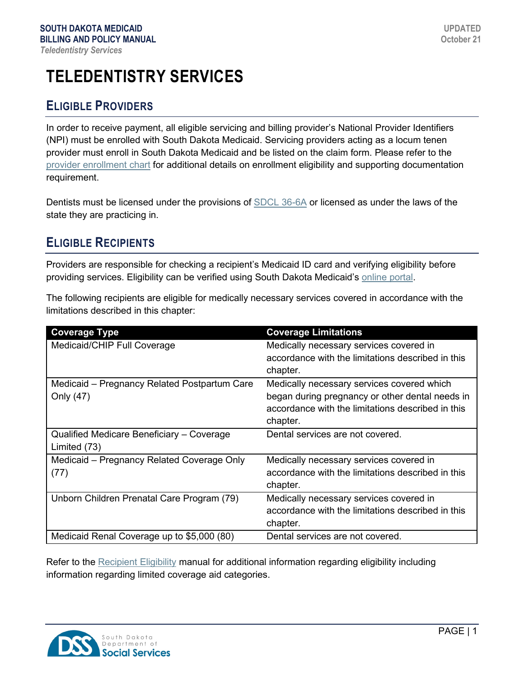# **TELEDENTISTRY SERVICES**

## **ELIGIBLE PROVIDERS**

In order to receive payment, all eligible servicing and billing provider's National Provider Identifiers (NPI) must be enrolled with South Dakota Medicaid. Servicing providers acting as a locum tenen provider must enroll in South Dakota Medicaid and be listed on the claim form. Please refer to the [provider enrollment chart](https://dss.sd.gov/docs/medicaid/providers/ProviderChart.pdf) for additional details on enrollment eligibility and supporting documentation requirement.

Dentists must be licensed under the provisions of [SDCL 36-6A](https://sdlegislature.gov/Statutes/Codified_Laws/DisplayStatute.aspx?Statute=36-6A&Type=Statute) or licensed as under the laws of the state they are practicing in.

# **ELIGIBLE RECIPIENTS**

Providers are responsible for checking a recipient's Medicaid ID card and verifying eligibility before providing services. Eligibility can be verified using South Dakota Medicaid's [online portal.](https://dss.sd.gov/medicaid/portal.aspx)

The following recipients are eligible for medically necessary services covered in accordance with the limitations described in this chapter:

| <b>Coverage Type</b>                         | <b>Coverage Limitations</b>                       |
|----------------------------------------------|---------------------------------------------------|
| Medicaid/CHIP Full Coverage                  | Medically necessary services covered in           |
|                                              | accordance with the limitations described in this |
|                                              | chapter.                                          |
| Medicaid - Pregnancy Related Postpartum Care | Medically necessary services covered which        |
| Only (47)                                    | began during pregnancy or other dental needs in   |
|                                              | accordance with the limitations described in this |
|                                              | chapter.                                          |
| Qualified Medicare Beneficiary - Coverage    | Dental services are not covered.                  |
| Limited (73)                                 |                                                   |
| Medicaid - Pregnancy Related Coverage Only   | Medically necessary services covered in           |
| (77)                                         | accordance with the limitations described in this |
|                                              | chapter.                                          |
| Unborn Children Prenatal Care Program (79)   | Medically necessary services covered in           |
|                                              | accordance with the limitations described in this |
|                                              | chapter.                                          |
| Medicaid Renal Coverage up to \$5,000 (80)   | Dental services are not covered.                  |

Refer to the [Recipient Eligibility](https://dss.sd.gov/docs/medicaid/providers/billingmanuals/General/Recipient_Eligibility.pdf) manual for additional information regarding eligibility including information regarding limited coverage aid categories.

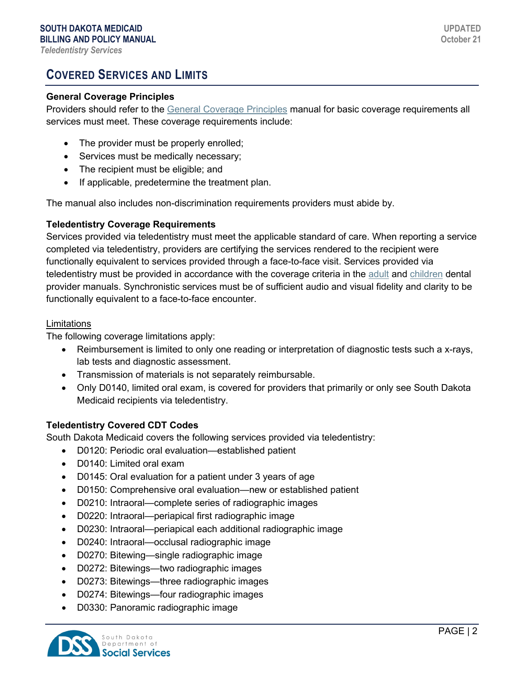# **COVERED SERVICES AND LIMITS**

#### **General Coverage Principles**

Providers should refer to the [General Coverage Principles](https://dss.sd.gov/docs/medicaid/providers/billingmanuals/General/General_Coverage_Principles.pdf) manual for basic coverage requirements all services must meet. These coverage requirements include:

- The provider must be properly enrolled;
- Services must be medically necessary;
- The recipient must be eligible; and
- If applicable, predetermine the treatment plan.

The manual also includes non-discrimination requirements providers must abide by.

#### **Teledentistry Coverage Requirements**

Services provided via teledentistry must meet the applicable standard of care. When reporting a service completed via teledentistry, providers are certifying the services rendered to the recipient were functionally equivalent to services provided through a face-to-face visit. Services provided via teledentistry must be provided in accordance with the coverage criteria in the [adult](https://dss.sd.gov/docs/medicaid/providers/billingmanuals/Dental/Adult_Dental_Services.pdf) and [children](https://dss.sd.gov/docs/medicaid/providers/billingmanuals/Dental/Children_Dental_Services.pdf) dental provider manuals. Synchronistic services must be of sufficient audio and visual fidelity and clarity to be functionally equivalent to a face-to-face encounter.

#### Limitations

The following coverage limitations apply:

- Reimbursement is limited to only one reading or interpretation of diagnostic tests such a x-rays, lab tests and diagnostic assessment.
- Transmission of materials is not separately reimbursable.
- Only D0140, limited oral exam, is covered for providers that primarily or only see South Dakota Medicaid recipients via teledentistry.

#### **Teledentistry Covered CDT Codes**

South Dakota Medicaid covers the following services provided via teledentistry:

- D0120: Periodic oral evaluation—established patient
- D0140: Limited oral exam
- D0145: Oral evaluation for a patient under 3 years of age
- D0150: Comprehensive oral evaluation—new or established patient
- D0210: Intraoral—complete series of radiographic images
- D0220: Intraoral—periapical first radiographic image
- D0230: Intraoral—periapical each additional radiographic image
- D0240: Intraoral—occlusal radiographic image
- D0270: Bitewing—single radiographic image
- D0272: Bitewings—two radiographic images
- D0273: Bitewings—three radiographic images
- D0274: Bitewings—four radiographic images
- D0330: Panoramic radiographic image

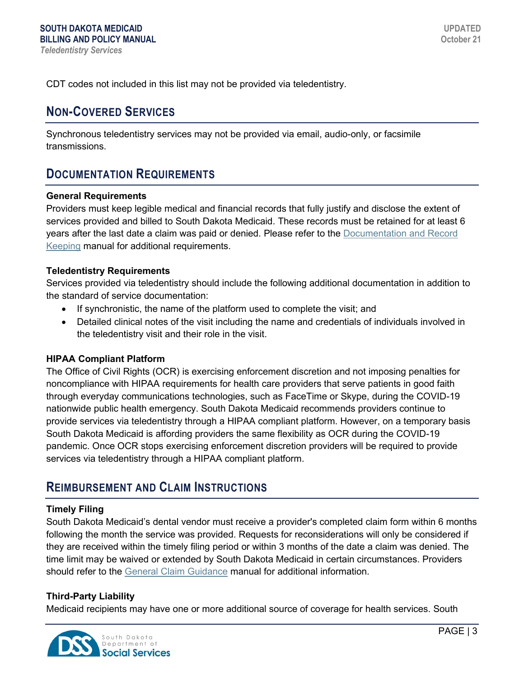CDT codes not included in this list may not be provided via teledentistry.

### **NON-COVERED SERVICES**

Synchronous teledentistry services may not be provided via email, audio-only, or facsimile transmissions.

### **DOCUMENTATION REQUIREMENTS**

#### **General Requirements**

Providers must keep legible medical and financial records that fully justify and disclose the extent of services provided and billed to South Dakota Medicaid. These records must be retained for at least 6 years after the last date a claim was paid or denied. Please refer to the [Documentation and Record](https://dss.sd.gov/docs/medicaid/providers/billingmanuals/General/Documentation_and_Records.pdf)  [Keeping](https://dss.sd.gov/docs/medicaid/providers/billingmanuals/General/Documentation_and_Records.pdf) manual for additional requirements.

#### **Teledentistry Requirements**

Services provided via teledentistry should include the following additional documentation in addition to the standard of service documentation:

- If synchronistic, the name of the platform used to complete the visit; and
- Detailed clinical notes of the visit including the name and credentials of individuals involved in the teledentistry visit and their role in the visit.

#### **HIPAA Compliant Platform**

The Office of Civil Rights (OCR) is exercising enforcement discretion and not imposing penalties for noncompliance with HIPAA requirements for health care providers that serve patients in good faith through everyday communications technologies, such as FaceTime or Skype, during the COVID-19 nationwide public health emergency. South Dakota Medicaid recommends providers continue to provide services via teledentistry through a HIPAA compliant platform. However, on a temporary basis South Dakota Medicaid is affording providers the same flexibility as OCR during the COVID-19 pandemic. Once OCR stops exercising enforcement discretion providers will be required to provide services via teledentistry through a HIPAA compliant platform.

### **REIMBURSEMENT AND CLAIM INSTRUCTIONS**

#### **Timely Filing**

South Dakota Medicaid's dental vendor must receive a provider's completed claim form within 6 months following the month the service was provided. Requests for reconsiderations will only be considered if they are received within the timely filing period or within 3 months of the date a claim was denied. The time limit may be waived or extended by South Dakota Medicaid in certain circumstances. Providers should refer to the [General Claim Guidance](https://dss.sd.gov/docs/medicaid/providers/billingmanuals/General/General_Claim_Guidance.pdf) manual for additional information.

#### **Third-Party Liability**

Medicaid recipients may have one or more additional source of coverage for health services. South

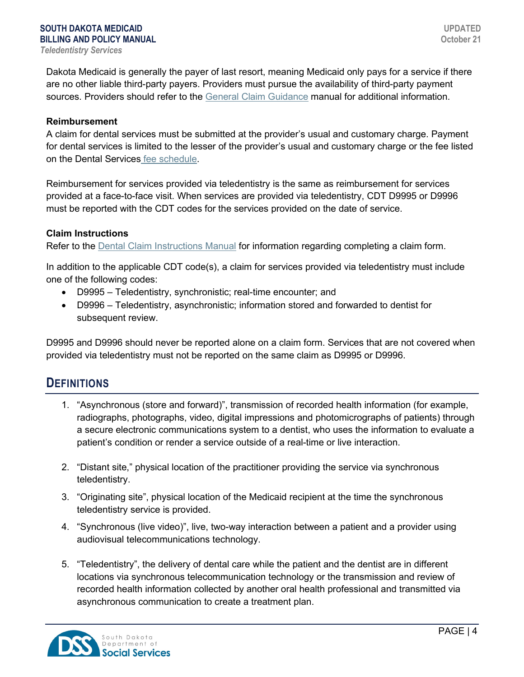Dakota Medicaid is generally the payer of last resort, meaning Medicaid only pays for a service if there are no other liable third-party payers. Providers must pursue the availability of third-party payment sources. Providers should refer to the [General Claim Guidance](https://dss.sd.gov/docs/medicaid/providers/billingmanuals/General/General_Claim_Guidance.pdf) manual for additional information.

#### **Reimbursement**

A claim for dental services must be submitted at the provider's usual and customary charge. Payment for dental services is limited to the lesser of the provider's usual and customary charge or the fee listed on the Dental Services [fee schedule.](https://dss.sd.gov/medicaid/providers/feeschedules/dss/)

Reimbursement for services provided via teledentistry is the same as reimbursement for services provided at a face-to-face visit. When services are provided via teledentistry, CDT D9995 or D9996 must be reported with the CDT codes for the services provided on the date of service.

#### **Claim Instructions**

Refer to the [Dental Claim Instructions](https://dss.sd.gov/docs/medicaid/providers/billingmanuals/Dental/Dental_Claim_Instructions.pdf) Manual for information regarding completing a claim form.

In addition to the applicable CDT code(s), a claim for services provided via teledentistry must include one of the following codes:

- D9995 Teledentistry, synchronistic; real-time encounter; and
- D9996 Teledentistry, asynchronistic; information stored and forwarded to dentist for subsequent review.

D9995 and D9996 should never be reported alone on a claim form. Services that are not covered when provided via teledentistry must not be reported on the same claim as D9995 or D9996.

### **DEFINITIONS**

- 1. "Asynchronous (store and forward)", transmission of recorded health information (for example, radiographs, photographs, video, digital impressions and photomicrographs of patients) through a secure electronic communications system to a dentist, who uses the information to evaluate a patient's condition or render a service outside of a real-time or live interaction.
- 2. "Distant site," physical location of the practitioner providing the service via synchronous teledentistry.
- 3. "Originating site", physical location of the Medicaid recipient at the time the synchronous teledentistry service is provided.
- 4. "Synchronous (live video)", live, two-way interaction between a patient and a provider using audiovisual telecommunications technology.
- 5. "Teledentistry", the delivery of dental care while the patient and the dentist are in different locations via synchronous telecommunication technology or the transmission and review of recorded health information collected by another oral health professional and transmitted via asynchronous communication to create a treatment plan.

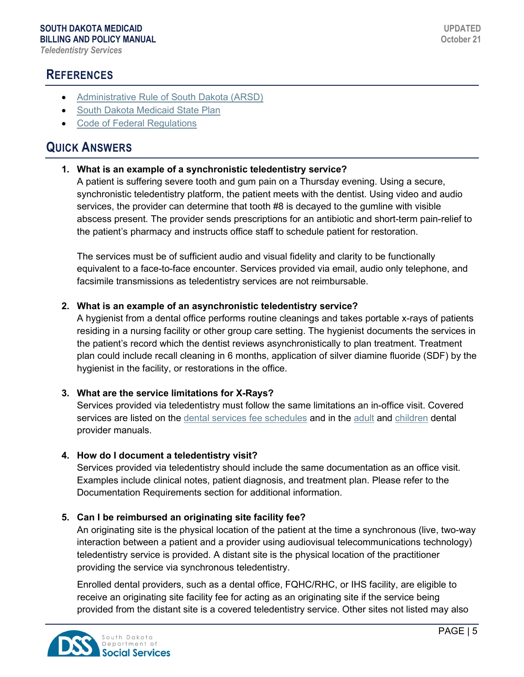## **REFERENCES**

- [Administrative Rule of South Dakota \(ARSD\)](https://sdlegislature.gov/Rules/DisplayRule.aspx?Rule=67:16:06)
- [South Dakota Medicaid State Plan](https://dss.sd.gov/medicaid/medicaidstateplan.aspx)
- [Code of Federal Regulations](https://www.ecfr.gov/cgi-bin/text-idx?SID=c5706253a711cfca4ccb768bf18fcc9e&mc=true&tpl=/ecfrbrowse/Title42/42tab_02.tpl)

### **QUICK ANSWERS**

### **1. What is an example of a synchronistic teledentistry service?**

A patient is suffering severe tooth and gum pain on a Thursday evening. Using a secure, synchronistic teledentistry platform, the patient meets with the dentist. Using video and audio services, the provider can determine that tooth #8 is decayed to the gumline with visible abscess present. The provider sends prescriptions for an antibiotic and short-term pain-relief to the patient's pharmacy and instructs office staff to schedule patient for restoration.

The services must be of sufficient audio and visual fidelity and clarity to be functionally equivalent to a face-to-face encounter. Services provided via email, audio only telephone, and facsimile transmissions as teledentistry services are not reimbursable.

#### **2. What is an example of an asynchronistic teledentistry service?**

A hygienist from a dental office performs routine cleanings and takes portable x-rays of patients residing in a nursing facility or other group care setting. The hygienist documents the services in the patient's record which the dentist reviews asynchronistically to plan treatment. Treatment plan could include recall cleaning in 6 months, application of silver diamine fluoride (SDF) by the hygienist in the facility, or restorations in the office.

#### **3. What are the service limitations for X-Rays?**

Services provided via teledentistry must follow the same limitations an in-office visit. Covered services are listed on the [dental services fee schedules](https://dss.sd.gov/medicaid/providers/feeschedules/dss/) and in the [adult](https://dss.sd.gov/docs/medicaid/providers/billingmanuals/Dental/Adult_Dental_Services.pdf) and [children](https://dss.sd.gov/docs/medicaid/providers/billingmanuals/Dental/Children_Dental_Services.pdf) dental provider manuals.

#### **4. How do I document a teledentistry visit?**

Services provided via teledentistry should include the same documentation as an office visit. Examples include clinical notes, patient diagnosis, and treatment plan. Please refer to the Documentation Requirements section for additional information.

### **5. Can I be reimbursed an originating site facility fee?**

An originating site is the physical location of the patient at the time a synchronous (live, two-way interaction between a patient and a provider using audiovisual telecommunications technology) teledentistry service is provided. A distant site is the physical location of the practitioner providing the service via synchronous teledentistry.

Enrolled dental providers, such as a dental office, FQHC/RHC, or IHS facility, are eligible to receive an originating site facility fee for acting as an originating site if the service being provided from the distant site is a covered teledentistry service. Other sites not listed may also